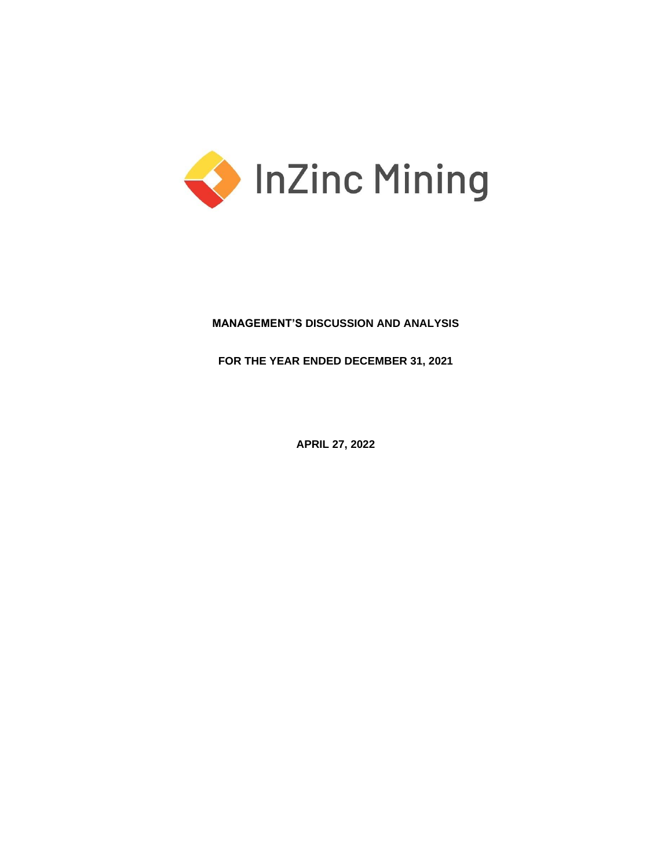

# **MANAGEMENT'S DISCUSSION AND ANALYSIS**

**FOR THE YEAR ENDED DECEMBER 31, 2021**

**APRIL 27, 2022**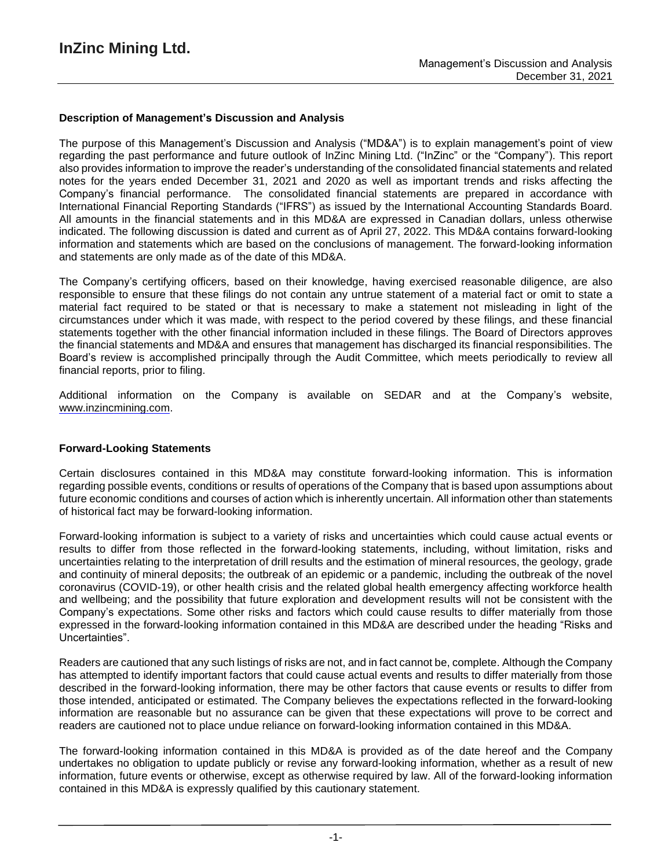## **Description of Management's Discussion and Analysis**

The purpose of this Management's Discussion and Analysis ("MD&A") is to explain management's point of view regarding the past performance and future outlook of InZinc Mining Ltd. ("InZinc" or the "Company"). This report also provides information to improve the reader's understanding of the consolidated financial statements and related notes for the years ended December 31, 2021 and 2020 as well as important trends and risks affecting the Company's financial performance. The consolidated financial statements are prepared in accordance with International Financial Reporting Standards ("IFRS") as issued by the International Accounting Standards Board. All amounts in the financial statements and in this MD&A are expressed in Canadian dollars, unless otherwise indicated. The following discussion is dated and current as of April 27, 2022. This MD&A contains forward-looking information and statements which are based on the conclusions of management. The forward-looking information and statements are only made as of the date of this MD&A.

The Company's certifying officers, based on their knowledge, having exercised reasonable diligence, are also responsible to ensure that these filings do not contain any untrue statement of a material fact or omit to state a material fact required to be stated or that is necessary to make a statement not misleading in light of the circumstances under which it was made, with respect to the period covered by these filings, and these financial statements together with the other financial information included in these filings. The Board of Directors approves the financial statements and MD&A and ensures that management has discharged its financial responsibilities. The Board's review is accomplished principally through the Audit Committee, which meets periodically to review all financial reports, prior to filing.

Additional information on the Company is available on SEDAR and at the Company's website, www.inzincmining.com.

### **Forward-Looking Statements**

Certain disclosures contained in this MD&A may constitute forward-looking information. This is information regarding possible events, conditions or results of operations of the Company that is based upon assumptions about future economic conditions and courses of action which is inherently uncertain. All information other than statements of historical fact may be forward-looking information.

Forward-looking information is subject to a variety of risks and uncertainties which could cause actual events or results to differ from those reflected in the forward-looking statements, including, without limitation, risks and uncertainties relating to the interpretation of drill results and the estimation of mineral resources, the geology, grade and continuity of mineral deposits; the outbreak of an epidemic or a pandemic, including the outbreak of the novel coronavirus (COVID-19), or other health crisis and the related global health emergency affecting workforce health and wellbeing; and the possibility that future exploration and development results will not be consistent with the Company's expectations. Some other risks and factors which could cause results to differ materially from those expressed in the forward-looking information contained in this MD&A are described under the heading "Risks and Uncertainties".

Readers are cautioned that any such listings of risks are not, and in fact cannot be, complete. Although the Company has attempted to identify important factors that could cause actual events and results to differ materially from those described in the forward-looking information, there may be other factors that cause events or results to differ from those intended, anticipated or estimated. The Company believes the expectations reflected in the forward-looking information are reasonable but no assurance can be given that these expectations will prove to be correct and readers are cautioned not to place undue reliance on forward-looking information contained in this MD&A.

The forward-looking information contained in this MD&A is provided as of the date hereof and the Company undertakes no obligation to update publicly or revise any forward-looking information, whether as a result of new information, future events or otherwise, except as otherwise required by law. All of the forward-looking information contained in this MD&A is expressly qualified by this cautionary statement.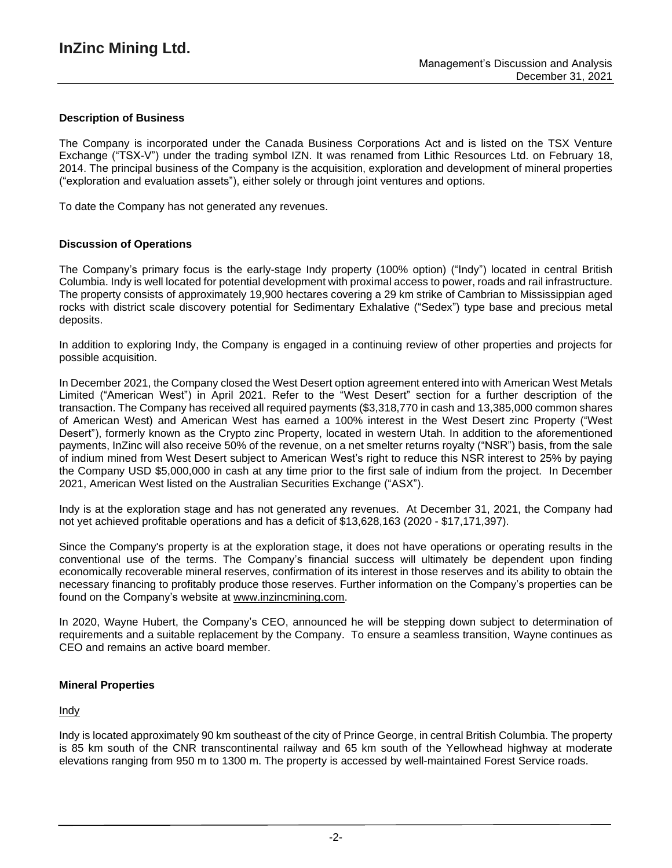## **Description of Business**

The Company is incorporated under the Canada Business Corporations Act and is listed on the TSX Venture Exchange ("TSX-V") under the trading symbol IZN. It was renamed from Lithic Resources Ltd. on February 18, 2014. The principal business of the Company is the acquisition, exploration and development of mineral properties ("exploration and evaluation assets"), either solely or through joint ventures and options.

To date the Company has not generated any revenues.

## **Discussion of Operations**

The Company's primary focus is the early-stage Indy property (100% option) ("Indy") located in central British Columbia. Indy is well located for potential development with proximal access to power, roads and rail infrastructure. The property consists of approximately 19,900 hectares covering a 29 km strike of Cambrian to Mississippian aged rocks with district scale discovery potential for Sedimentary Exhalative ("Sedex") type base and precious metal deposits.

In addition to exploring Indy, the Company is engaged in a continuing review of other properties and projects for possible acquisition.

In December 2021, the Company closed the West Desert option agreement entered into with American West Metals Limited ("American West") in April 2021. Refer to the "West Desert" section for a further description of the transaction. The Company has received all required payments (\$3,318,770 in cash and 13,385,000 common shares of American West) and American West has earned a 100% interest in the West Desert zinc Property ("West Desert"), formerly known as the Crypto zinc Property, located in western Utah. In addition to the aforementioned payments, InZinc will also receive 50% of the revenue, on a net smelter returns royalty ("NSR") basis, from the sale of indium mined from West Desert subject to American West's right to reduce this NSR interest to 25% by paying the Company USD \$5,000,000 in cash at any time prior to the first sale of indium from the project. In December 2021, American West listed on the Australian Securities Exchange ("ASX").

Indy is at the exploration stage and has not generated any revenues. At December 31, 2021, the Company had not yet achieved profitable operations and has a deficit of \$13,628,163 (2020 - \$17,171,397).

Since the Company's property is at the exploration stage, it does not have operations or operating results in the conventional use of the terms. The Company's financial success will ultimately be dependent upon finding economically recoverable mineral reserves, confirmation of its interest in those reserves and its ability to obtain the necessary financing to profitably produce those reserves. Further information on the Company's properties can be found on the Company's website at [www.inzincmining.com.](about:blank)

In 2020, Wayne Hubert, the Company's CEO, announced he will be stepping down subject to determination of requirements and a suitable replacement by the Company. To ensure a seamless transition, Wayne continues as CEO and remains an active board member.

### **Mineral Properties**

### Indy

Indy is located approximately 90 km southeast of the city of Prince George, in central British Columbia. The property is 85 km south of the CNR transcontinental railway and 65 km south of the Yellowhead highway at moderate elevations ranging from 950 m to 1300 m. The property is accessed by well-maintained Forest Service roads.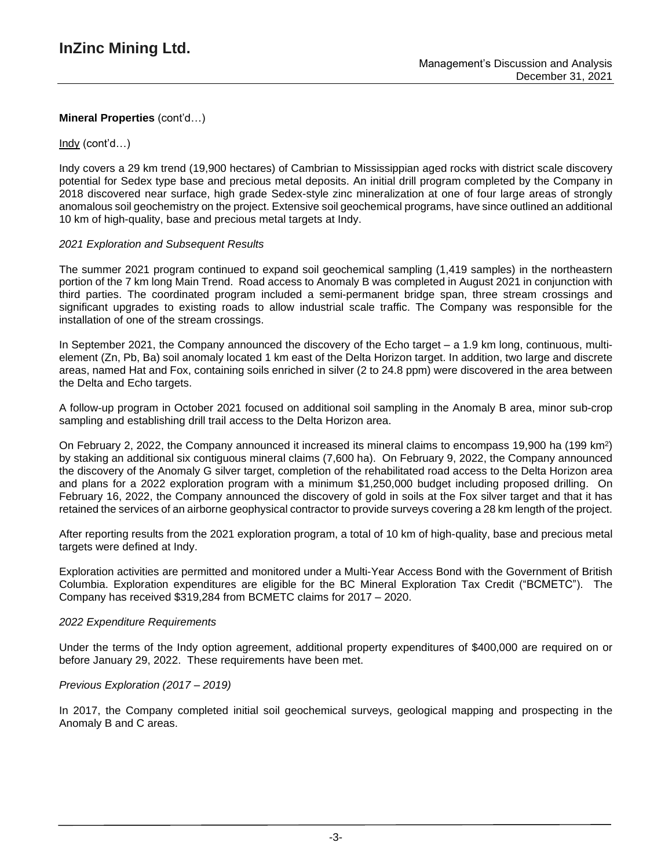## Indy (cont'd…)

Indy covers a 29 km trend (19,900 hectares) of Cambrian to Mississippian aged rocks with district scale discovery potential for Sedex type base and precious metal deposits. An initial drill program completed by the Company in 2018 discovered near surface, high grade Sedex-style zinc mineralization at one of four large areas of strongly anomalous soil geochemistry on the project. Extensive soil geochemical programs, have since outlined an additional 10 km of high-quality, base and precious metal targets at Indy.

## *2021 Exploration and Subsequent Results*

The summer 2021 program continued to expand soil geochemical sampling (1,419 samples) in the northeastern portion of the 7 km long Main Trend. Road access to Anomaly B was completed in August 2021 in conjunction with third parties. The coordinated program included a semi-permanent bridge span, three stream crossings and significant upgrades to existing roads to allow industrial scale traffic. The Company was responsible for the installation of one of the stream crossings.

In September 2021, the Company announced the discovery of the Echo target – a 1.9 km long, continuous, multielement (Zn, Pb, Ba) soil anomaly located 1 km east of the Delta Horizon target. In addition, two large and discrete areas, named Hat and Fox, containing soils enriched in silver (2 to 24.8 ppm) were discovered in the area between the Delta and Echo targets.

A follow-up program in October 2021 focused on additional soil sampling in the Anomaly B area, minor sub-crop sampling and establishing drill trail access to the Delta Horizon area.

On February 2, 2022, the Company announced it increased its mineral claims to encompass 19,900 ha (199 km<sup>2</sup>) by staking an additional six contiguous mineral claims (7,600 ha). On February 9, 2022, the Company announced the discovery of the Anomaly G silver target, completion of the rehabilitated road access to the Delta Horizon area and plans for a 2022 exploration program with a minimum \$1,250,000 budget including proposed drilling. On February 16, 2022, the Company announced the discovery of gold in soils at the Fox silver target and that it has retained the services of an airborne geophysical contractor to provide surveys covering a 28 km length of the project.

After reporting results from the 2021 exploration program, a total of 10 km of high-quality, base and precious metal targets were defined at Indy.

Exploration activities are permitted and monitored under a Multi-Year Access Bond with the Government of British Columbia. Exploration expenditures are eligible for the BC Mineral Exploration Tax Credit ("BCMETC"). The Company has received \$319,284 from BCMETC claims for 2017 – 2020.

### *2022 Expenditure Requirements*

Under the terms of the Indy option agreement, additional property expenditures of \$400,000 are required on or before January 29, 2022. These requirements have been met.

### *Previous Exploration (2017 – 2019)*

In 2017, the Company completed initial soil geochemical surveys, geological mapping and prospecting in the Anomaly B and C areas.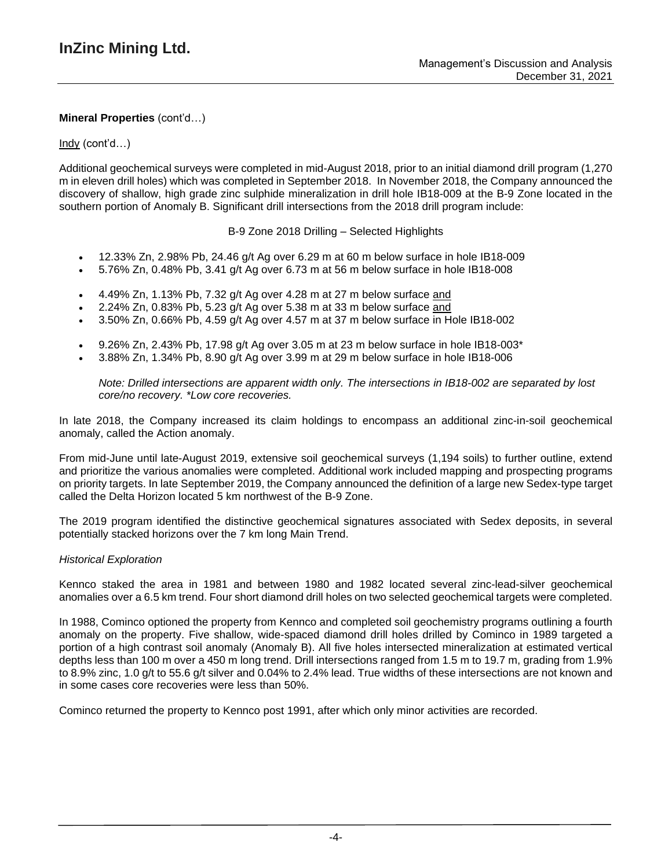## Indy (cont'd…)

Additional geochemical surveys were completed in mid-August 2018, prior to an initial diamond drill program (1,270 m in eleven drill holes) which was completed in September 2018. In November 2018, the Company announced the discovery of shallow, high grade zinc sulphide mineralization in drill hole IB18-009 at the B-9 Zone located in the southern portion of Anomaly B. Significant drill intersections from the 2018 drill program include:

B-9 Zone 2018 Drilling – Selected Highlights

- 12.33% Zn, 2.98% Pb, 24.46 g/t Ag over 6.29 m at 60 m below surface in hole IB18-009
- 5.76% Zn, 0.48% Pb, 3.41 g/t Ag over 6.73 m at 56 m below surface in hole IB18-008
- 4.49% Zn, 1.13% Pb, 7.32 g/t Ag over 4.28 m at 27 m below surface and
- 2.24% Zn, 0.83% Pb, 5.23 g/t Ag over 5.38 m at 33 m below surface and
- 3.50% Zn, 0.66% Pb, 4.59 g/t Ag over 4.57 m at 37 m below surface in Hole IB18-002
- 9.26% Zn, 2.43% Pb, 17.98 g/t Ag over 3.05 m at 23 m below surface in hole IB18-003\*
- 3.88% Zn, 1.34% Pb, 8.90 g/t Ag over 3.99 m at 29 m below surface in hole IB18-006

*Note: Drilled intersections are apparent width only. The intersections in IB18-002 are separated by lost core/no recovery. \*Low core recoveries.*

In late 2018, the Company increased its claim holdings to encompass an additional zinc-in-soil geochemical anomaly, called the Action anomaly.

From mid-June until late-August 2019, extensive soil geochemical surveys (1,194 soils) to further outline, extend and prioritize the various anomalies were completed. Additional work included mapping and prospecting programs on priority targets. In late September 2019, the Company announced the definition of a large new Sedex-type target called the Delta Horizon located 5 km northwest of the B-9 Zone.

The 2019 program identified the distinctive geochemical signatures associated with Sedex deposits, in several potentially stacked horizons over the 7 km long Main Trend.

### *Historical Exploration*

Kennco staked the area in 1981 and between 1980 and 1982 located several zinc-lead-silver geochemical anomalies over a 6.5 km trend. Four short diamond drill holes on two selected geochemical targets were completed.

In 1988, Cominco optioned the property from Kennco and completed soil geochemistry programs outlining a fourth anomaly on the property. Five shallow, wide-spaced diamond drill holes drilled by Cominco in 1989 targeted a portion of a high contrast soil anomaly (Anomaly B). All five holes intersected mineralization at estimated vertical depths less than 100 m over a 450 m long trend. Drill intersections ranged from 1.5 m to 19.7 m, grading from 1.9% to 8.9% zinc, 1.0 g/t to 55.6 g/t silver and 0.04% to 2.4% lead. True widths of these intersections are not known and in some cases core recoveries were less than 50%.

Cominco returned the property to Kennco post 1991, after which only minor activities are recorded.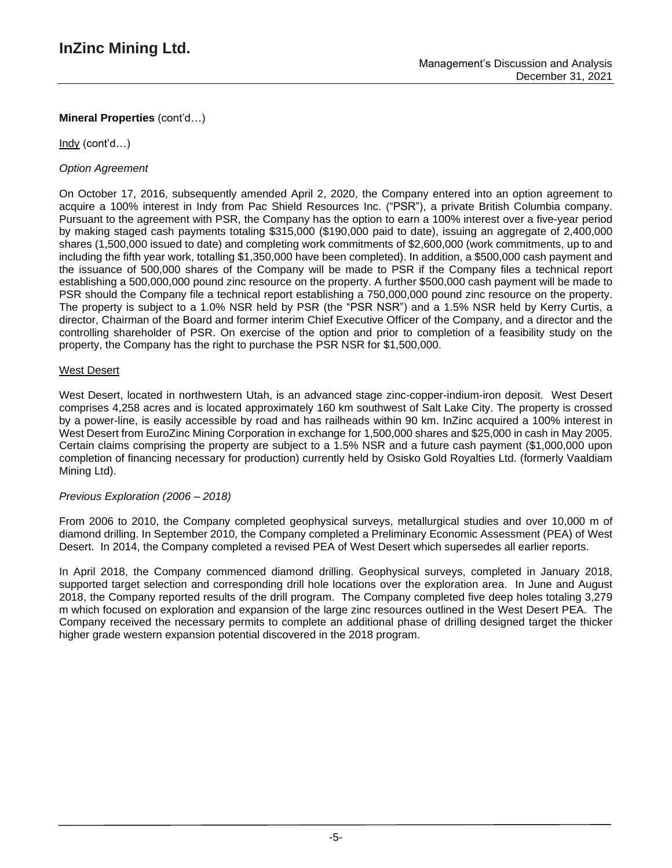Indy (cont'd…)

# *Option Agreement*

On October 17, 2016, subsequently amended April 2, 2020, the Company entered into an option agreement to acquire a 100% interest in Indy from Pac Shield Resources Inc. ("PSR"), a private British Columbia company. Pursuant to the agreement with PSR, the Company has the option to earn a 100% interest over a five-year period by making staged cash payments totaling \$315,000 (\$190,000 paid to date), issuing an aggregate of 2,400,000 shares (1,500,000 issued to date) and completing work commitments of \$2,600,000 (work commitments, up to and including the fifth year work, totalling \$1,350,000 have been completed). In addition, a \$500,000 cash payment and the issuance of 500,000 shares of the Company will be made to PSR if the Company files a technical report establishing a 500,000,000 pound zinc resource on the property. A further \$500,000 cash payment will be made to PSR should the Company file a technical report establishing a 750,000,000 pound zinc resource on the property. The property is subject to a 1.0% NSR held by PSR (the "PSR NSR") and a 1.5% NSR held by Kerry Curtis, a director, Chairman of the Board and former interim Chief Executive Officer of the Company, and a director and the controlling shareholder of PSR. On exercise of the option and prior to completion of a feasibility study on the property, the Company has the right to purchase the PSR NSR for \$1,500,000.

# West Desert

West Desert, located in northwestern Utah, is an advanced stage zinc-copper-indium-iron deposit. West Desert comprises 4,258 acres and is located approximately 160 km southwest of Salt Lake City. The property is crossed by a power-line, is easily accessible by road and has railheads within 90 km. InZinc acquired a 100% interest in West Desert from EuroZinc Mining Corporation in exchange for 1,500,000 shares and \$25,000 in cash in May 2005. Certain claims comprising the property are subject to a 1.5% NSR and a future cash payment (\$1,000,000 upon completion of financing necessary for production) currently held by Osisko Gold Royalties Ltd. (formerly Vaaldiam Mining Ltd).

# *Previous Exploration (2006 – 2018)*

From 2006 to 2010, the Company completed geophysical surveys, metallurgical studies and over 10,000 m of diamond drilling. In September 2010, the Company completed a Preliminary Economic Assessment (PEA) of West Desert. In 2014, the Company completed a revised PEA of West Desert which supersedes all earlier reports.

In April 2018, the Company commenced diamond drilling. Geophysical surveys, completed in January 2018, supported target selection and corresponding drill hole locations over the exploration area. In June and August 2018, the Company reported results of the drill program. The Company completed five deep holes totaling 3,279 m which focused on exploration and expansion of the large zinc resources outlined in the West Desert PEA. The Company received the necessary permits to complete an additional phase of drilling designed target the thicker higher grade western expansion potential discovered in the 2018 program.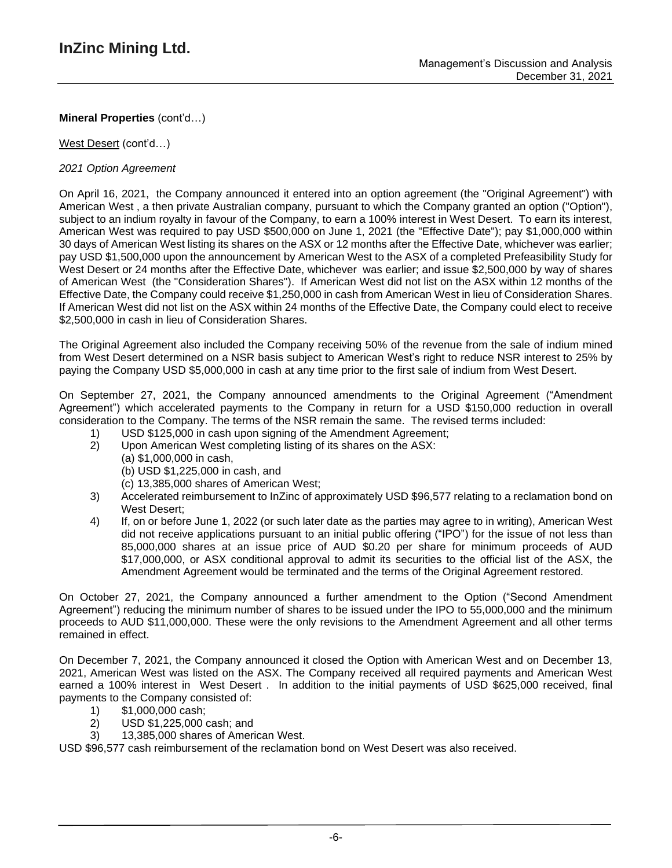West Desert (cont'd…)

# *2021 Option Agreement*

On April 16, 2021, the Company announced it entered into an option agreement (the "Original Agreement") with American West , a then private Australian company, pursuant to which the Company granted an option ("Option"), subject to an indium royalty in favour of the Company, to earn a 100% interest in West Desert. To earn its interest, American West was required to pay USD \$500,000 on June 1, 2021 (the "Effective Date"); pay \$1,000,000 within 30 days of American West listing its shares on the ASX or 12 months after the Effective Date, whichever was earlier; pay USD \$1,500,000 upon the announcement by American West to the ASX of a completed Prefeasibility Study for West Desert or 24 months after the Effective Date, whichever was earlier; and issue \$2,500,000 by way of shares of American West (the "Consideration Shares"). If American West did not list on the ASX within 12 months of the Effective Date, the Company could receive \$1,250,000 in cash from American West in lieu of Consideration Shares. If American West did not list on the ASX within 24 months of the Effective Date, the Company could elect to receive \$2,500,000 in cash in lieu of Consideration Shares.

The Original Agreement also included the Company receiving 50% of the revenue from the sale of indium mined from West Desert determined on a NSR basis subject to American West's right to reduce NSR interest to 25% by paying the Company USD \$5,000,000 in cash at any time prior to the first sale of indium from West Desert.

On September 27, 2021, the Company announced amendments to the Original Agreement ("Amendment Agreement") which accelerated payments to the Company in return for a USD \$150,000 reduction in overall consideration to the Company. The terms of the NSR remain the same. The revised terms included:

- 1) USD \$125,000 in cash upon signing of the Amendment Agreement;
- 2) Upon American West completing listing of its shares on the ASX:
	- (a) \$1,000,000 in cash,
		- (b) USD \$1,225,000 in cash, and
	- (c) 13,385,000 shares of American West;
- 3) Accelerated reimbursement to InZinc of approximately USD \$96,577 relating to a reclamation bond on West Desert;
- 4) If, on or before June 1, 2022 (or such later date as the parties may agree to in writing), American West did not receive applications pursuant to an initial public offering ("IPO") for the issue of not less than 85,000,000 shares at an issue price of AUD \$0.20 per share for minimum proceeds of AUD \$17,000,000, or ASX conditional approval to admit its securities to the official list of the ASX, the Amendment Agreement would be terminated and the terms of the Original Agreement restored.

On October 27, 2021, the Company announced a further amendment to the Option ("Second Amendment Agreement") reducing the minimum number of shares to be issued under the IPO to 55,000,000 and the minimum proceeds to AUD \$11,000,000. These were the only revisions to the Amendment Agreement and all other terms remained in effect.

On December 7, 2021, the Company announced it closed the Option with American West and on December 13, 2021, American West was listed on the ASX. The Company received all required payments and American West earned a 100% interest in West Desert . In addition to the initial payments of USD \$625,000 received, final payments to the Company consisted of:

- 
- 1) \$1,000,000 cash;<br>2) USD \$1,225,000 ( 2) USD \$1,225,000 cash; and
- 3) 13,385,000 shares of American West.

USD \$96,577 cash reimbursement of the reclamation bond on West Desert was also received.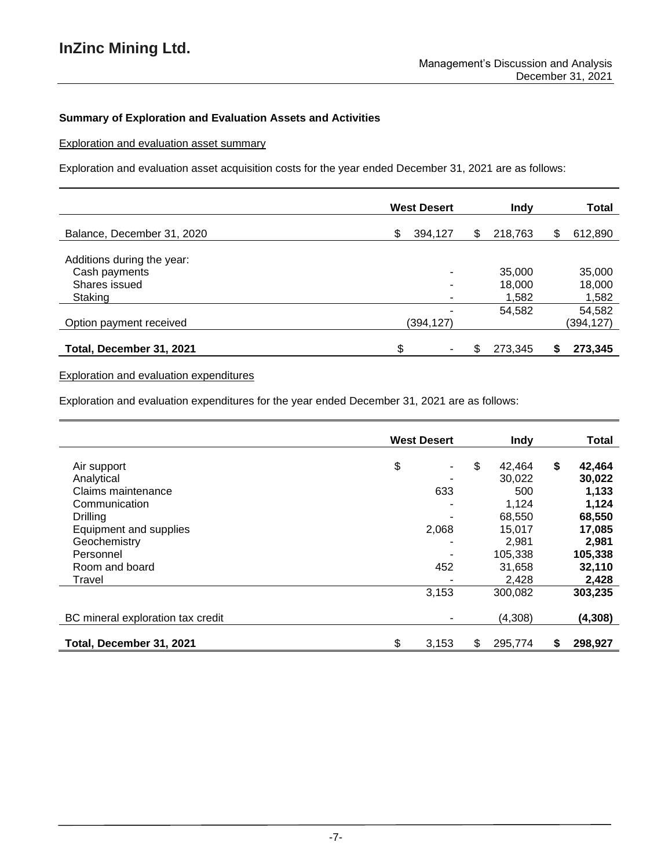# **Summary of Exploration and Evaluation Assets and Activities**

Exploration and evaluation asset summary

Exploration and evaluation asset acquisition costs for the year ended December 31, 2021 are as follows:

|                            | <b>West Desert</b> |   | Indy    |    | <b>Total</b> |
|----------------------------|--------------------|---|---------|----|--------------|
| Balance, December 31, 2020 | 394,127<br>\$      | S | 218.763 | \$ | 612,890      |
| Additions during the year: |                    |   |         |    |              |
| Cash payments              | ۰                  |   | 35,000  |    | 35,000       |
| Shares issued              | ۰                  |   | 18,000  |    | 18,000       |
| Staking                    | ۰                  |   | 1,582   |    | 1,582        |
|                            |                    |   | 54,582  |    | 54,582       |
| Option payment received    | (394,127)          |   |         |    | (394,127)    |
|                            |                    |   |         |    |              |
| Total, December 31, 2021   |                    |   | 273,345 | S  | 273,345      |

# Exploration and evaluation expenditures

Exploration and evaluation expenditures for the year ended December 31, 2021 are as follows:

|                                   | <b>West Desert</b> |    | <b>Indy</b> | <b>Total</b>  |
|-----------------------------------|--------------------|----|-------------|---------------|
| Air support                       | \$<br>۰            | \$ | 42.464      | \$<br>42,464  |
| Analytical                        |                    |    | 30,022      | 30,022        |
| Claims maintenance                | 633                |    | 500         | 1,133         |
| Communication                     | -                  |    | 1,124       | 1,124         |
| <b>Drilling</b>                   | -                  |    | 68,550      | 68,550        |
| Equipment and supplies            | 2,068              |    | 15.017      | 17,085        |
| Geochemistry                      |                    |    | 2,981       | 2,981         |
| Personnel                         |                    |    | 105,338     | 105,338       |
| Room and board                    | 452                |    | 31,658      | 32,110        |
| Travel                            |                    |    | 2,428       | 2,428         |
|                                   | 3,153              |    | 300,082     | 303,235       |
| BC mineral exploration tax credit |                    |    | (4,308)     | (4, 308)      |
| Total, December 31, 2021          | \$<br>3,153        | S  | 295,774     | \$<br>298,927 |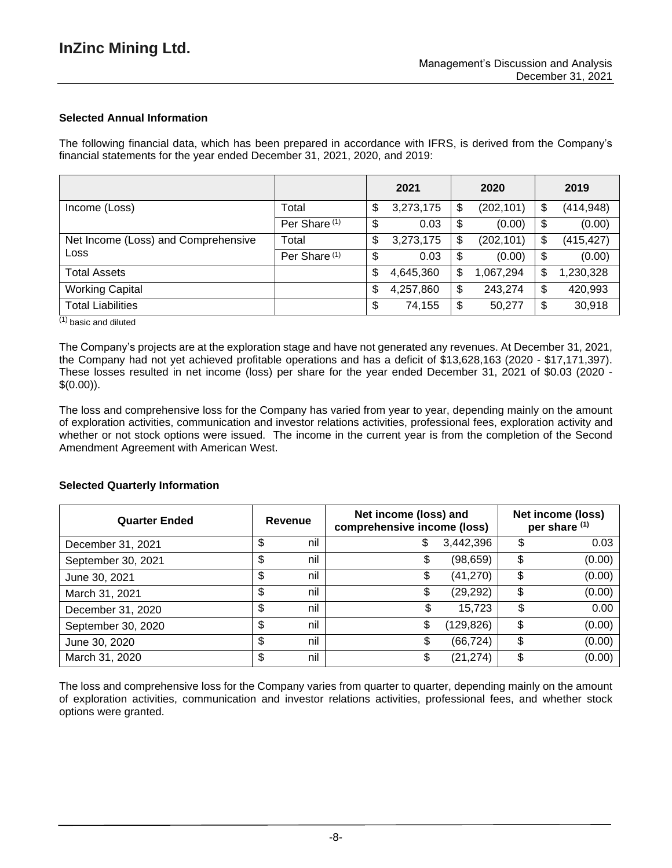# **Selected Annual Information**

The following financial data, which has been prepared in accordance with IFRS, is derived from the Company's financial statements for the year ended December 31, 2021, 2020, and 2019:

|                                     |                          | 2021            | 2020             | 2019             |
|-------------------------------------|--------------------------|-----------------|------------------|------------------|
| Income (Loss)                       | Total                    | \$<br>3,273,175 | \$<br>(202, 101) | \$<br>(414,948)  |
|                                     | Per Share <sup>(1)</sup> | \$<br>0.03      | \$<br>(0.00)     | \$<br>(0.00)     |
| Net Income (Loss) and Comprehensive | Total                    | \$<br>3,273,175 | \$<br>(202, 101) | \$<br>(415, 427) |
| Loss                                | Per Share <sup>(1)</sup> | \$<br>0.03      | \$<br>(0.00)     | \$<br>(0.00)     |
| <b>Total Assets</b>                 |                          | \$<br>4,645,360 | \$<br>1,067,294  | \$<br>1,230,328  |
| <b>Working Capital</b>              |                          | \$<br>4,257,860 | \$<br>243,274    | \$<br>420,993    |
| <b>Total Liabilities</b>            |                          | \$<br>74,155    | \$<br>50,277     | \$<br>30,918     |

 $\overline{^{(1)}}$  basic and diluted

The Company's projects are at the exploration stage and have not generated any revenues. At December 31, 2021, the Company had not yet achieved profitable operations and has a deficit of \$13,628,163 (2020 - \$17,171,397). These losses resulted in net income (loss) per share for the year ended December 31, 2021 of \$0.03 (2020 -  $$(0.00)$ .

The loss and comprehensive loss for the Company has varied from year to year, depending mainly on the amount of exploration activities, communication and investor relations activities, professional fees, exploration activity and whether or not stock options were issued. The income in the current year is from the completion of the Second Amendment Agreement with American West.

### **Selected Quarterly Information**

| <b>Quarter Ended</b> | Net income (loss) and<br>Net income (loss)<br>Revenue<br>comprehensive income (loss)<br>per share (1) |    |            |    |        |
|----------------------|-------------------------------------------------------------------------------------------------------|----|------------|----|--------|
| December 31, 2021    | \$<br>nil                                                                                             | \$ | 3,442,396  | \$ | 0.03   |
| September 30, 2021   | \$<br>nil                                                                                             | \$ | (98, 659)  | \$ | (0.00) |
| June 30, 2021        | \$<br>nil                                                                                             | \$ | (41, 270)  | \$ | (0.00) |
| March 31, 2021       | \$<br>nil                                                                                             | \$ | (29, 292)  | \$ | (0.00) |
| December 31, 2020    | \$<br>nil                                                                                             | \$ | 15,723     | \$ | 0.00   |
| September 30, 2020   | \$<br>nil                                                                                             | \$ | (129, 826) | \$ | (0.00) |
| June 30, 2020        | \$<br>nil                                                                                             | \$ | (66, 724)  | \$ | (0.00) |
| March 31, 2020       | \$<br>nil                                                                                             | \$ | (21, 274)  | \$ | (0.00) |

The loss and comprehensive loss for the Company varies from quarter to quarter, depending mainly on the amount of exploration activities, communication and investor relations activities, professional fees, and whether stock options were granted.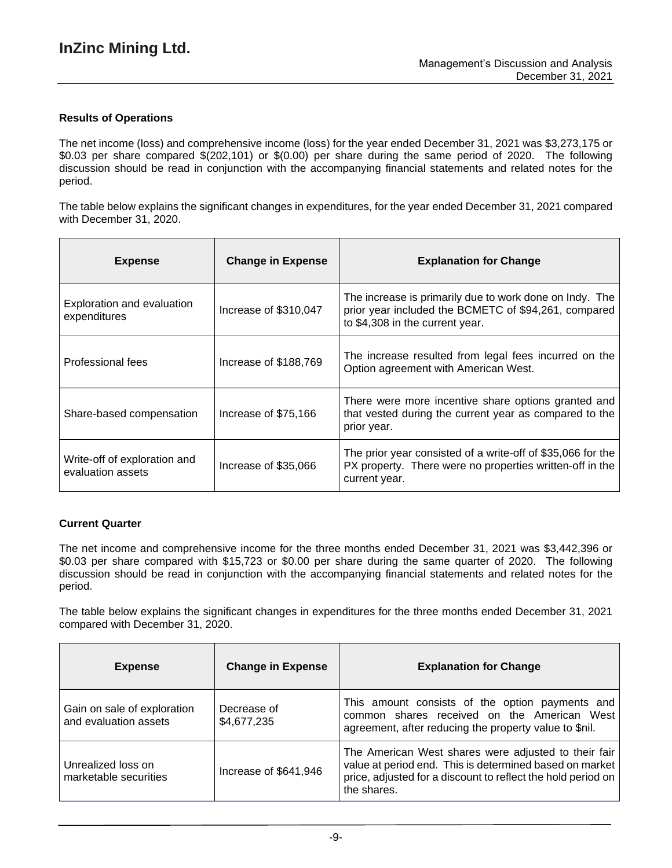# **Results of Operations**

The net income (loss) and comprehensive income (loss) for the year ended December 31, 2021 was \$3,273,175 or \$0.03 per share compared \$(202,101) or \$(0.00) per share during the same period of 2020. The following discussion should be read in conjunction with the accompanying financial statements and related notes for the period.

The table below explains the significant changes in expenditures, for the year ended December 31, 2021 compared with December 31, 2020.

| <b>Expense</b>                                    | <b>Change in Expense</b> | <b>Explanation for Change</b>                                                                                                                      |
|---------------------------------------------------|--------------------------|----------------------------------------------------------------------------------------------------------------------------------------------------|
| Exploration and evaluation<br>expenditures        | Increase of \$310,047    | The increase is primarily due to work done on Indy. The<br>prior year included the BCMETC of \$94,261, compared<br>to \$4,308 in the current year. |
| <b>Professional fees</b>                          | Increase of \$188,769    | The increase resulted from legal fees incurred on the<br>Option agreement with American West.                                                      |
| Share-based compensation                          | Increase of \$75,166     | There were more incentive share options granted and<br>that vested during the current year as compared to the<br>prior year.                       |
| Write-off of exploration and<br>evaluation assets | Increase of \$35,066     | The prior year consisted of a write-off of \$35,066 for the<br>PX property. There were no properties written-off in the<br>current year.           |

# **Current Quarter**

The net income and comprehensive income for the three months ended December 31, 2021 was \$3,442,396 or \$0.03 per share compared with \$15,723 or \$0.00 per share during the same quarter of 2020. The following discussion should be read in conjunction with the accompanying financial statements and related notes for the period.

The table below explains the significant changes in expenditures for the three months ended December 31, 2021 compared with December 31, 2020.

| <b>Expense</b>                                       | <b>Change in Expense</b>   | <b>Explanation for Change</b>                                                                                                                                                                  |
|------------------------------------------------------|----------------------------|------------------------------------------------------------------------------------------------------------------------------------------------------------------------------------------------|
| Gain on sale of exploration<br>and evaluation assets | Decrease of<br>\$4,677,235 | This amount consists of the option payments and<br>common shares received on the American West<br>agreement, after reducing the property value to \$nil.                                       |
| Unrealized loss on<br>marketable securities          | Increase of \$641,946      | The American West shares were adjusted to their fair<br>value at period end. This is determined based on market<br>price, adjusted for a discount to reflect the hold period on<br>the shares. |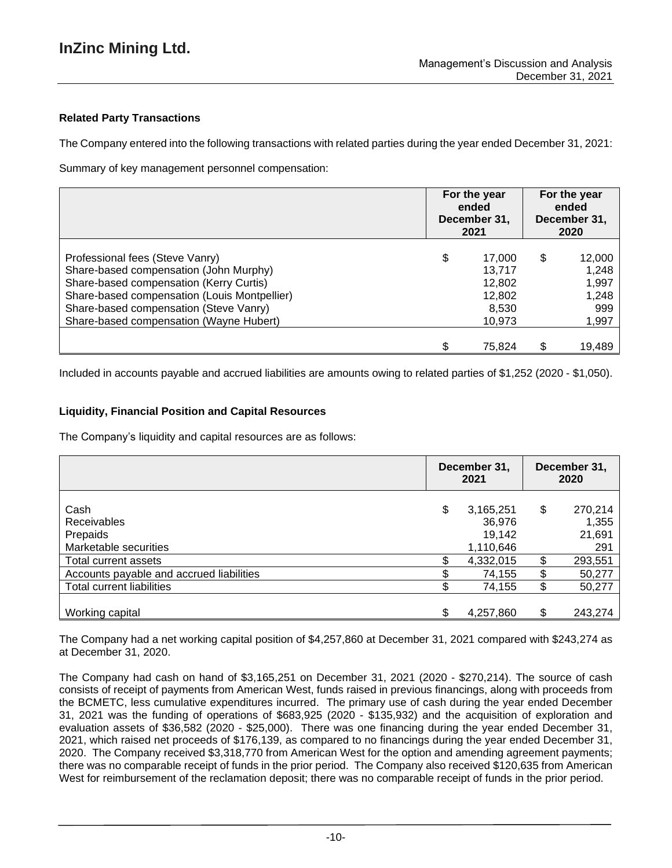# **Related Party Transactions**

The Company entered into the following transactions with related parties during the year ended December 31, 2021:

Summary of key management personnel compensation:

|                                                                                                                                                                                                                                                           | For the year<br>ended<br>December 31,<br>2021                 | For the year<br>ended<br>December 31,<br>2020 |                                                   |  |
|-----------------------------------------------------------------------------------------------------------------------------------------------------------------------------------------------------------------------------------------------------------|---------------------------------------------------------------|-----------------------------------------------|---------------------------------------------------|--|
| Professional fees (Steve Vanry)<br>Share-based compensation (John Murphy)<br>Share-based compensation (Kerry Curtis)<br>Share-based compensation (Louis Montpellier)<br>Share-based compensation (Steve Vanry)<br>Share-based compensation (Wayne Hubert) | \$<br>17.000<br>13,717<br>12,802<br>12,802<br>8,530<br>10,973 | \$                                            | 12,000<br>1,248<br>1,997<br>1,248<br>999<br>1,997 |  |
|                                                                                                                                                                                                                                                           | 75,824                                                        |                                               | 19,489                                            |  |

Included in accounts payable and accrued liabilities are amounts owing to related parties of \$1,252 (2020 - \$1,050).

## **Liquidity, Financial Position and Capital Resources**

The Company's liquidity and capital resources are as follows:

|                                          | December 31,<br>2021 |                     | December 31,<br>2020 |               |
|------------------------------------------|----------------------|---------------------|----------------------|---------------|
| Cash                                     | \$                   | 3,165,251           | \$                   | 270,214       |
| <b>Receivables</b>                       |                      | 36,976              |                      | 1,355         |
| Prepaids<br>Marketable securities        |                      | 19,142<br>1,110,646 |                      | 21,691<br>291 |
| Total current assets                     |                      | 4,332,015           | \$                   | 293,551       |
| Accounts payable and accrued liabilities |                      | 74,155              | \$                   | 50,277        |
| Total current liabilities                |                      | 74,155              | \$                   | 50,277        |
| Working capital                          |                      | 4,257,860           | \$                   | 243,274       |

The Company had a net working capital position of \$4,257,860 at December 31, 2021 compared with \$243,274 as at December 31, 2020.

The Company had cash on hand of \$3,165,251 on December 31, 2021 (2020 - \$270,214). The source of cash consists of receipt of payments from American West, funds raised in previous financings, along with proceeds from the BCMETC, less cumulative expenditures incurred. The primary use of cash during the year ended December 31, 2021 was the funding of operations of \$683,925 (2020 - \$135,932) and the acquisition of exploration and evaluation assets of \$36,582 (2020 - \$25,000). There was one financing during the year ended December 31, 2021, which raised net proceeds of \$176,139, as compared to no financings during the year ended December 31, 2020. The Company received \$3,318,770 from American West for the option and amending agreement payments; there was no comparable receipt of funds in the prior period. The Company also received \$120,635 from American West for reimbursement of the reclamation deposit; there was no comparable receipt of funds in the prior period.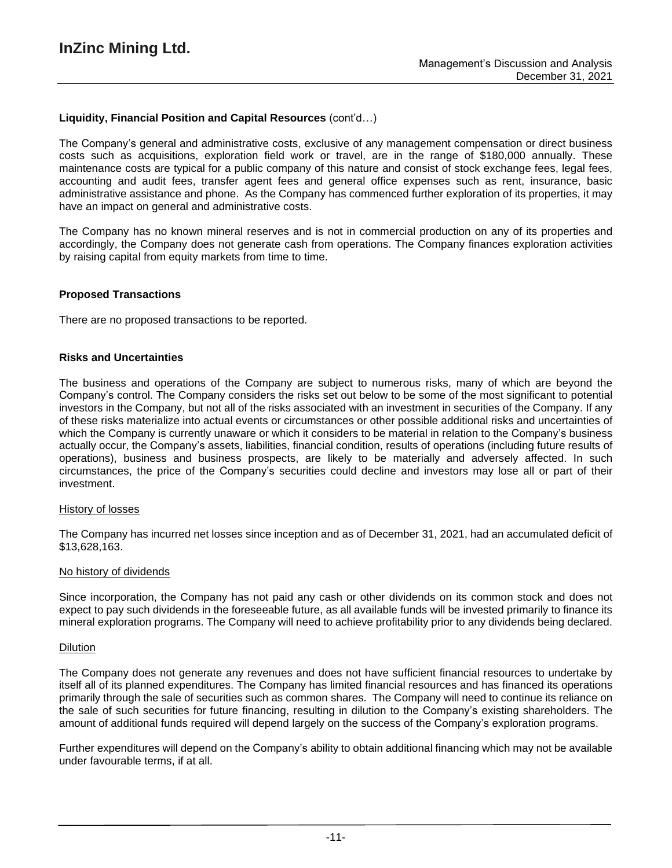## **Liquidity, Financial Position and Capital Resources** (cont'd…)

The Company's general and administrative costs, exclusive of any management compensation or direct business costs such as acquisitions, exploration field work or travel, are in the range of \$180,000 annually. These maintenance costs are typical for a public company of this nature and consist of stock exchange fees, legal fees, accounting and audit fees, transfer agent fees and general office expenses such as rent, insurance, basic administrative assistance and phone. As the Company has commenced further exploration of its properties, it may have an impact on general and administrative costs.

The Company has no known mineral reserves and is not in commercial production on any of its properties and accordingly, the Company does not generate cash from operations. The Company finances exploration activities by raising capital from equity markets from time to time.

### **Proposed Transactions**

There are no proposed transactions to be reported.

### **Risks and Uncertainties**

The business and operations of the Company are subject to numerous risks, many of which are beyond the Company's control. The Company considers the risks set out below to be some of the most significant to potential investors in the Company, but not all of the risks associated with an investment in securities of the Company. If any of these risks materialize into actual events or circumstances or other possible additional risks and uncertainties of which the Company is currently unaware or which it considers to be material in relation to the Company's business actually occur, the Company's assets, liabilities, financial condition, results of operations (including future results of operations), business and business prospects, are likely to be materially and adversely affected. In such circumstances, the price of the Company's securities could decline and investors may lose all or part of their investment.

#### History of losses

The Company has incurred net losses since inception and as of December 31, 2021, had an accumulated deficit of \$13,628,163.

#### No history of dividends

Since incorporation, the Company has not paid any cash or other dividends on its common stock and does not expect to pay such dividends in the foreseeable future, as all available funds will be invested primarily to finance its mineral exploration programs. The Company will need to achieve profitability prior to any dividends being declared.

#### Dilution

The Company does not generate any revenues and does not have sufficient financial resources to undertake by itself all of its planned expenditures. The Company has limited financial resources and has financed its operations primarily through the sale of securities such as common shares. The Company will need to continue its reliance on the sale of such securities for future financing, resulting in dilution to the Company's existing shareholders. The amount of additional funds required will depend largely on the success of the Company's exploration programs.

Further expenditures will depend on the Company's ability to obtain additional financing which may not be available under favourable terms, if at all.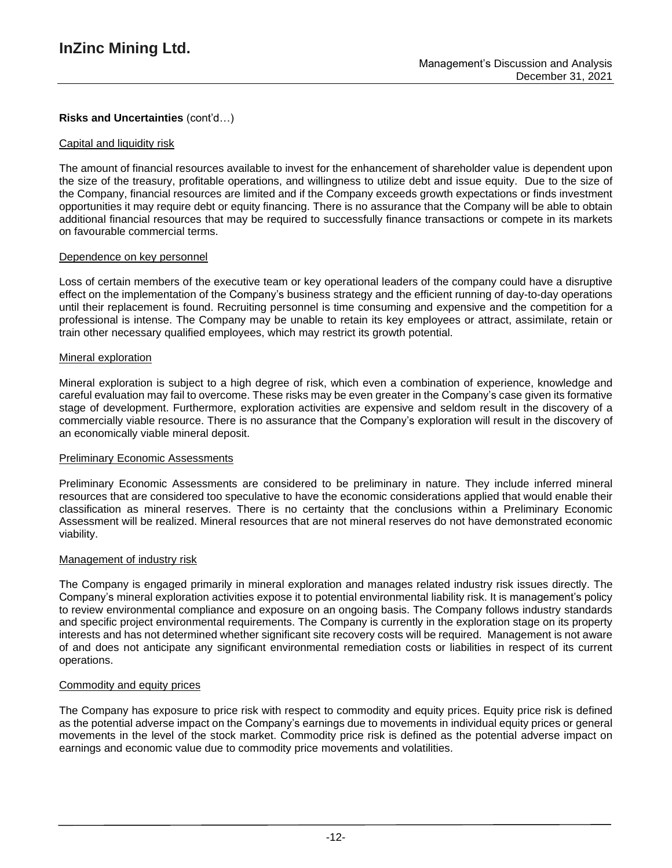# **Risks and Uncertainties** (cont'd…)

### Capital and liquidity risk

The amount of financial resources available to invest for the enhancement of shareholder value is dependent upon the size of the treasury, profitable operations, and willingness to utilize debt and issue equity. Due to the size of the Company, financial resources are limited and if the Company exceeds growth expectations or finds investment opportunities it may require debt or equity financing. There is no assurance that the Company will be able to obtain additional financial resources that may be required to successfully finance transactions or compete in its markets on favourable commercial terms.

## Dependence on key personnel

Loss of certain members of the executive team or key operational leaders of the company could have a disruptive effect on the implementation of the Company's business strategy and the efficient running of day-to-day operations until their replacement is found. Recruiting personnel is time consuming and expensive and the competition for a professional is intense. The Company may be unable to retain its key employees or attract, assimilate, retain or train other necessary qualified employees, which may restrict its growth potential.

### Mineral exploration

Mineral exploration is subject to a high degree of risk, which even a combination of experience, knowledge and careful evaluation may fail to overcome. These risks may be even greater in the Company's case given its formative stage of development. Furthermore, exploration activities are expensive and seldom result in the discovery of a commercially viable resource. There is no assurance that the Company's exploration will result in the discovery of an economically viable mineral deposit.

### **Preliminary Economic Assessments**

Preliminary Economic Assessments are considered to be preliminary in nature. They include inferred mineral resources that are considered too speculative to have the economic considerations applied that would enable their classification as mineral reserves. There is no certainty that the conclusions within a Preliminary Economic Assessment will be realized. Mineral resources that are not mineral reserves do not have demonstrated economic viability.

### Management of industry risk

The Company is engaged primarily in mineral exploration and manages related industry risk issues directly. The Company's mineral exploration activities expose it to potential environmental liability risk. It is management's policy to review environmental compliance and exposure on an ongoing basis. The Company follows industry standards and specific project environmental requirements. The Company is currently in the exploration stage on its property interests and has not determined whether significant site recovery costs will be required. Management is not aware of and does not anticipate any significant environmental remediation costs or liabilities in respect of its current operations.

# Commodity and equity prices

The Company has exposure to price risk with respect to commodity and equity prices. Equity price risk is defined as the potential adverse impact on the Company's earnings due to movements in individual equity prices or general movements in the level of the stock market. Commodity price risk is defined as the potential adverse impact on earnings and economic value due to commodity price movements and volatilities.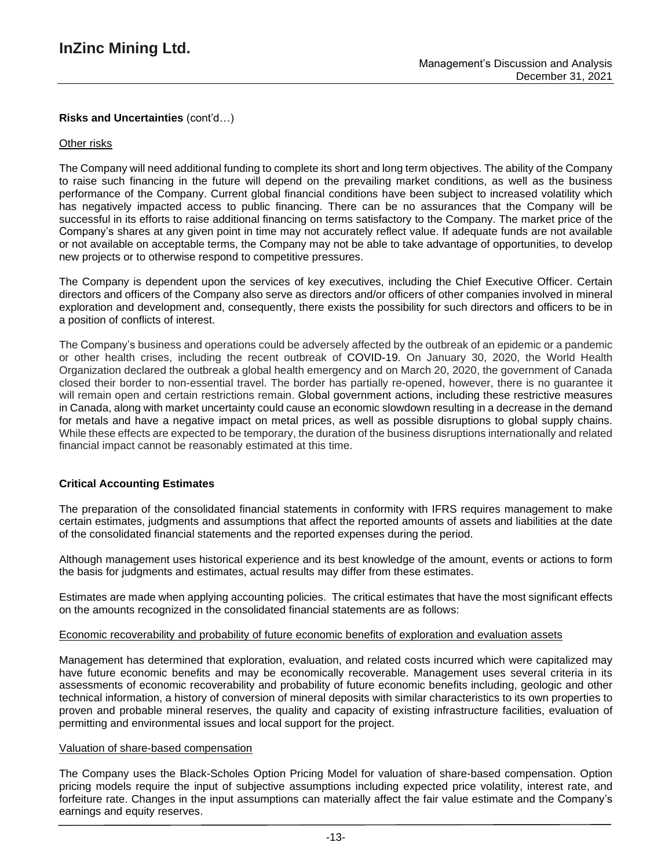# **Risks and Uncertainties** (cont'd…)

### Other risks

The Company will need additional funding to complete its short and long term objectives. The ability of the Company to raise such financing in the future will depend on the prevailing market conditions, as well as the business performance of the Company. Current global financial conditions have been subject to increased volatility which has negatively impacted access to public financing. There can be no assurances that the Company will be successful in its efforts to raise additional financing on terms satisfactory to the Company. The market price of the Company's shares at any given point in time may not accurately reflect value. If adequate funds are not available or not available on acceptable terms, the Company may not be able to take advantage of opportunities, to develop new projects or to otherwise respond to competitive pressures.

The Company is dependent upon the services of key executives, including the Chief Executive Officer. Certain directors and officers of the Company also serve as directors and/or officers of other companies involved in mineral exploration and development and, consequently, there exists the possibility for such directors and officers to be in a position of conflicts of interest.

The Company's business and operations could be adversely affected by the outbreak of an epidemic or a pandemic or other health crises, including the recent outbreak of COVID-19. On January 30, 2020, the World Health Organization declared the outbreak a global health emergency and on March 20, 2020, the government of Canada closed their border to non-essential travel. The border has partially re-opened, however, there is no guarantee it will remain open and certain restrictions remain. Global government actions, including these restrictive measures in Canada, along with market uncertainty could cause an economic slowdown resulting in a decrease in the demand for metals and have a negative impact on metal prices, as well as possible disruptions to global supply chains. While these effects are expected to be temporary, the duration of the business disruptions internationally and related financial impact cannot be reasonably estimated at this time.

### **Critical Accounting Estimates**

The preparation of the consolidated financial statements in conformity with IFRS requires management to make certain estimates, judgments and assumptions that affect the reported amounts of assets and liabilities at the date of the consolidated financial statements and the reported expenses during the period.

Although management uses historical experience and its best knowledge of the amount, events or actions to form the basis for judgments and estimates, actual results may differ from these estimates.

Estimates are made when applying accounting policies. The critical estimates that have the most significant effects on the amounts recognized in the consolidated financial statements are as follows:

### Economic recoverability and probability of future economic benefits of exploration and evaluation assets

Management has determined that exploration, evaluation, and related costs incurred which were capitalized may have future economic benefits and may be economically recoverable. Management uses several criteria in its assessments of economic recoverability and probability of future economic benefits including, geologic and other technical information, a history of conversion of mineral deposits with similar characteristics to its own properties to proven and probable mineral reserves, the quality and capacity of existing infrastructure facilities, evaluation of permitting and environmental issues and local support for the project.

### Valuation of share-based compensation

The Company uses the Black-Scholes Option Pricing Model for valuation of share-based compensation. Option pricing models require the input of subjective assumptions including expected price volatility, interest rate, and forfeiture rate. Changes in the input assumptions can materially affect the fair value estimate and the Company's earnings and equity reserves.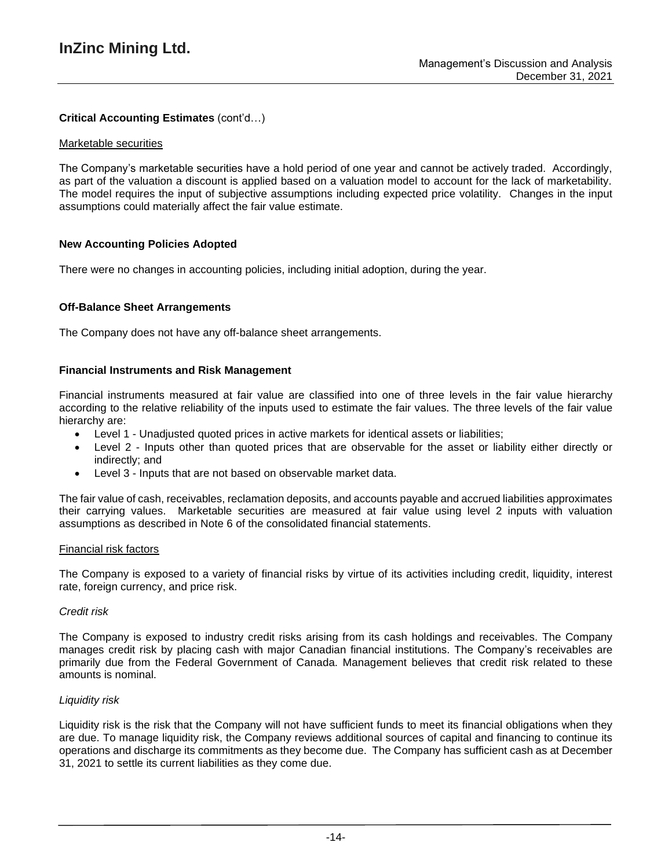# **Critical Accounting Estimates** (cont'd…)

### Marketable securities

The Company's marketable securities have a hold period of one year and cannot be actively traded. Accordingly, as part of the valuation a discount is applied based on a valuation model to account for the lack of marketability. The model requires the input of subjective assumptions including expected price volatility. Changes in the input assumptions could materially affect the fair value estimate.

## **New Accounting Policies Adopted**

There were no changes in accounting policies, including initial adoption, during the year.

## **Off-Balance Sheet Arrangements**

The Company does not have any off-balance sheet arrangements.

## **Financial Instruments and Risk Management**

Financial instruments measured at fair value are classified into one of three levels in the fair value hierarchy according to the relative reliability of the inputs used to estimate the fair values. The three levels of the fair value hierarchy are:

- Level 1 Unadjusted quoted prices in active markets for identical assets or liabilities;
- Level 2 Inputs other than quoted prices that are observable for the asset or liability either directly or indirectly; and
- Level 3 Inputs that are not based on observable market data.

The fair value of cash, receivables, reclamation deposits, and accounts payable and accrued liabilities approximates their carrying values. Marketable securities are measured at fair value using level 2 inputs with valuation assumptions as described in Note 6 of the consolidated financial statements.

### Financial risk factors

The Company is exposed to a variety of financial risks by virtue of its activities including credit, liquidity, interest rate, foreign currency, and price risk.

### *Credit risk*

The Company is exposed to industry credit risks arising from its cash holdings and receivables. The Company manages credit risk by placing cash with major Canadian financial institutions. The Company's receivables are primarily due from the Federal Government of Canada. Management believes that credit risk related to these amounts is nominal.

### *Liquidity risk*

Liquidity risk is the risk that the Company will not have sufficient funds to meet its financial obligations when they are due. To manage liquidity risk, the Company reviews additional sources of capital and financing to continue its operations and discharge its commitments as they become due. The Company has sufficient cash as at December 31, 2021 to settle its current liabilities as they come due.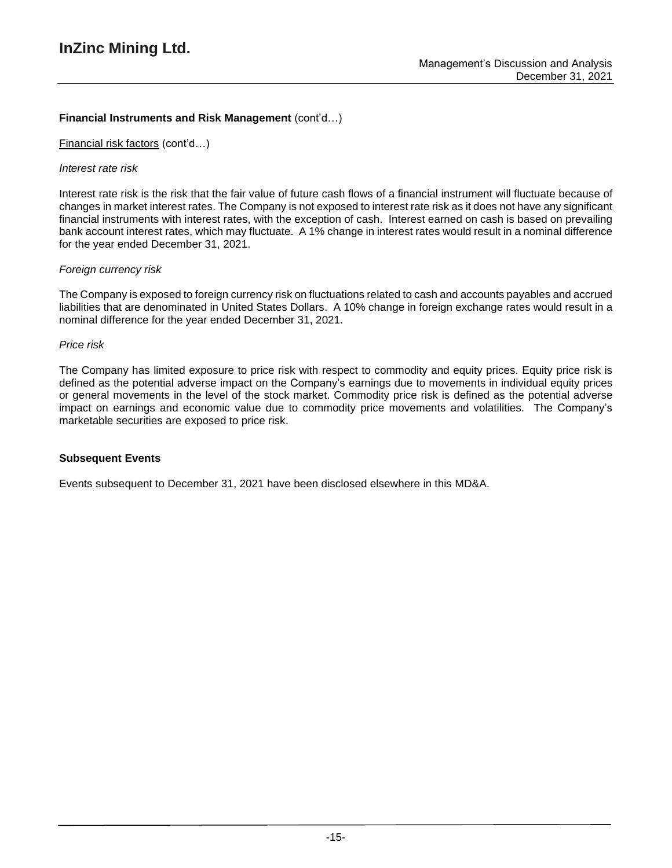# **Financial Instruments and Risk Management** (cont'd…)

Financial risk factors (cont'd…)

## *Interest rate risk*

Interest rate risk is the risk that the fair value of future cash flows of a financial instrument will fluctuate because of changes in market interest rates. The Company is not exposed to interest rate risk as it does not have any significant financial instruments with interest rates, with the exception of cash. Interest earned on cash is based on prevailing bank account interest rates, which may fluctuate. A 1% change in interest rates would result in a nominal difference for the year ended December 31, 2021.

# *Foreign currency risk*

The Company is exposed to foreign currency risk on fluctuations related to cash and accounts payables and accrued liabilities that are denominated in United States Dollars. A 10% change in foreign exchange rates would result in a nominal difference for the year ended December 31, 2021.

### *Price risk*

The Company has limited exposure to price risk with respect to commodity and equity prices. Equity price risk is defined as the potential adverse impact on the Company's earnings due to movements in individual equity prices or general movements in the level of the stock market. Commodity price risk is defined as the potential adverse impact on earnings and economic value due to commodity price movements and volatilities. The Company's marketable securities are exposed to price risk.

# **Subsequent Events**

Events subsequent to December 31, 2021 have been disclosed elsewhere in this MD&A.